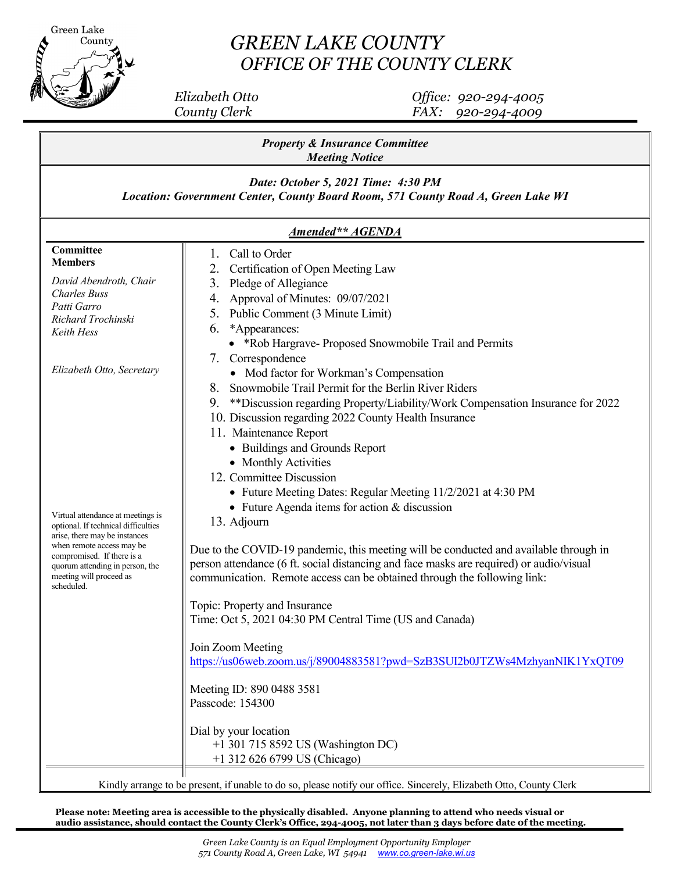

## *GREEN LAKE COUNTY OFFICE OF THE COUNTY CLERK*

 *Elizabeth Otto Office: 920-294-4005 County Clerk FAX: 920-294-4009*

| <b>Property &amp; Insurance Committee</b><br><b>Meeting Notice</b><br>Date: October 5, 2021 Time: 4:30 PM<br>Location: Government Center, County Board Room, 571 County Road A, Green Lake WI<br>Amended** AGENDA |                                                                                                                                                                                                                                                                                                                                                          |                                                                                                                   |                                                                                                                                                                                                                                                                             |
|-------------------------------------------------------------------------------------------------------------------------------------------------------------------------------------------------------------------|----------------------------------------------------------------------------------------------------------------------------------------------------------------------------------------------------------------------------------------------------------------------------------------------------------------------------------------------------------|-------------------------------------------------------------------------------------------------------------------|-----------------------------------------------------------------------------------------------------------------------------------------------------------------------------------------------------------------------------------------------------------------------------|
|                                                                                                                                                                                                                   |                                                                                                                                                                                                                                                                                                                                                          | Committee<br><b>Members</b><br>David Abendroth, Chair<br><b>Charles Buss</b><br>Patti Garro<br>Richard Trochinski | Call to Order<br>Ι.<br>2. Certification of Open Meeting Law<br>3. Pledge of Allegiance<br>Approval of Minutes: 09/07/2021<br>4.<br>5. Public Comment (3 Minute Limit)<br>*Appearances:<br>6.                                                                                |
|                                                                                                                                                                                                                   |                                                                                                                                                                                                                                                                                                                                                          | Keith Hess<br>Elizabeth Otto, Secretary                                                                           | • *Rob Hargrave- Proposed Snowmobile Trail and Permits<br>7. Correspondence<br>• Mod factor for Workman's Compensation<br>Snowmobile Trail Permit for the Berlin River Riders<br>8.<br>**Discussion regarding Property/Liability/Work Compensation Insurance for 2022<br>9. |
| Virtual attendance at meetings is<br>optional. If technical difficulties<br>arise, there may be instances<br>when remote access may be                                                                            | 10. Discussion regarding 2022 County Health Insurance<br>11. Maintenance Report<br>• Buildings and Grounds Report<br>• Monthly Activities<br>12. Committee Discussion<br>• Future Meeting Dates: Regular Meeting 11/2/2021 at 4:30 PM<br>• Future Agenda items for action & discussion<br>13. Adjourn                                                    |                                                                                                                   |                                                                                                                                                                                                                                                                             |
| compromised. If there is a<br>quorum attending in person, the<br>meeting will proceed as<br>scheduled.                                                                                                            | Due to the COVID-19 pandemic, this meeting will be conducted and available through in<br>person attendance (6 ft. social distancing and face masks are required) or audio/visual<br>communication. Remote access can be obtained through the following link:<br>Topic: Property and Insurance<br>Time: Oct 5, 2021 04:30 PM Central Time (US and Canada) |                                                                                                                   |                                                                                                                                                                                                                                                                             |
|                                                                                                                                                                                                                   | Join Zoom Meeting<br>https://us06web.zoom.us/j/89004883581?pwd=SzB3SUI2b0JTZWs4MzhyanNIK1YxQT09<br>Meeting ID: 890 0488 3581                                                                                                                                                                                                                             |                                                                                                                   |                                                                                                                                                                                                                                                                             |
|                                                                                                                                                                                                                   | Passcode: 154300<br>Dial by your location<br>+1 301 715 8592 US (Washington DC)<br>+1 312 626 6799 US (Chicago)<br>Kindly arrange to be present, if unable to do so, please notify our office. Sincerely, Elizabeth Otto, County Clerk                                                                                                                   |                                                                                                                   |                                                                                                                                                                                                                                                                             |

**Please note: Meeting area is accessible to the physically disabled. Anyone planning to attend who needs visual or audio assistance, should contact the County Clerk's Office, 294-4005, not later than 3 days before date 0f the meeting.**